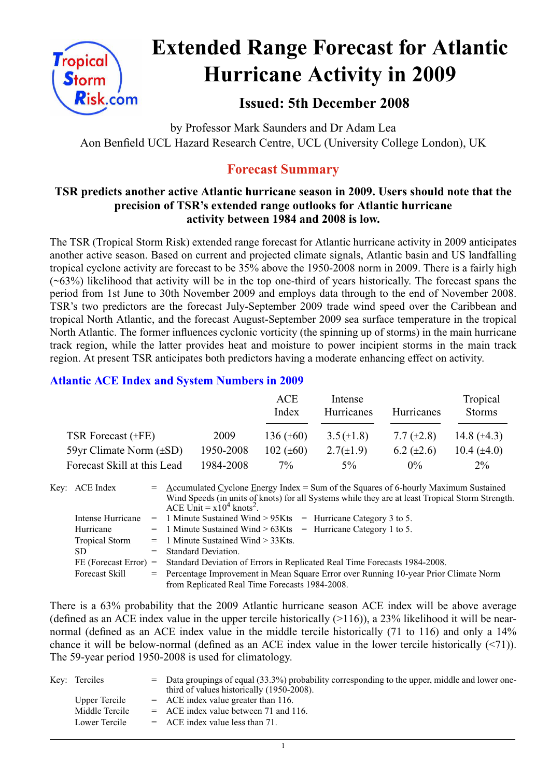

# **Extended Range Forecast for Atlantic Hurricane Activity in 2009**

# **Issued: 5th December 2008**

by Professor Mark Saunders and Dr Adam Lea Aon Benfield UCL Hazard Research Centre, UCL (University College London), UK

# **Forecast Summary**

# **TSR predicts another active Atlantic hurricane season in 2009. Users should note that the precision of TSR's extended range outlooks for Atlantic hurricane activity between 1984 and 2008 is low.**

The TSR (Tropical Storm Risk) extended range forecast for Atlantic hurricane activity in 2009 anticipates another active season. Based on current and projected climate signals, Atlantic basin and US landfalling tropical cyclone activity are forecast to be 35% above the 1950-2008 norm in 2009. There is a fairly high  $(\sim 63\%)$  likelihood that activity will be in the top one-third of years historically. The forecast spans the period from 1st June to 30th November 2009 and employs data through to the end of November 2008. TSR's two predictors are the forecast July-September 2009 trade wind speed over the Caribbean and tropical North Atlantic, and the forecast August-September 2009 sea surface temperature in the tropical North Atlantic. The former influences cyclonic vorticity (the spinning up of storms) in the main hurricane track region, while the latter provides heat and moisture to power incipient storms in the main track region. At present TSR anticipates both predictors having a moderate enhancing effect on activity.

# **Atlantic ACE Index and System Numbers in 2009**

|                              |           | ACE<br>Index   | Intense<br>Hurricanes | Hurricanes        | Tropical<br><b>Storms</b> |
|------------------------------|-----------|----------------|-----------------------|-------------------|---------------------------|
| TSR Forecast $(\pm FE)$      | 2009      | 136 $(\pm 60)$ | $3.5(\pm 1.8)$        | 7.7 $(\pm 2.8)$   | 14.8 $(\pm 4.3)$          |
| 59yr Climate Norm $(\pm SD)$ | 1950-2008 | 102 $(\pm 60)$ | $2.7(\pm 1.9)$        | $6.2 \ (\pm 2.6)$ | 10.4 $(\pm 4.0)$          |
| Forecast Skill at this Lead  | 1984-2008 | $7\%$          | $5\%$                 | $0\%$             | $2\%$                     |

| Key: ACE Index          | $=$ Accumulated Cyclone Energy Index = Sum of the Squares of 6-hourly Maximum Sustained<br>Wind Speeds (in units of knots) for all Systems while they are at least Tropical Storm Strength.<br>ACE Unit = $x10^4$ knots <sup>2</sup> . |
|-------------------------|----------------------------------------------------------------------------------------------------------------------------------------------------------------------------------------------------------------------------------------|
| Intense Hurricane       | $=$ 1 Minute Sustained Wind > 95Kts $=$ Hurricane Category 3 to 5.                                                                                                                                                                     |
| Hurricane               | $=$ 1 Minute Sustained Wind > 63Kts $=$ Hurricane Category 1 to 5.                                                                                                                                                                     |
| <b>Tropical Storm</b>   | $=$ 1 Minute Sustained Wind $>$ 33Kts.                                                                                                                                                                                                 |
| SD.                     | $=$ Standard Deviation.                                                                                                                                                                                                                |
| $FE$ (Forecast Error) = | Standard Deviation of Errors in Replicated Real Time Forecasts 1984-2008.                                                                                                                                                              |
| Forecast Skill          | = Percentage Improvement in Mean Square Error over Running 10-year Prior Climate Norm                                                                                                                                                  |
|                         | from Replicated Real Time Forecasts 1984-2008.                                                                                                                                                                                         |

There is a 63% probability that the 2009 Atlantic hurricane season ACE index will be above average (defined as an ACE index value in the upper tercile historically  $(>116)$ ), a 23% likelihood it will be nearnormal (defined as an ACE index value in the middle tercile historically (71 to 116) and only a 14% chance it will be below-normal (defined as an ACE index value in the lower tercile historically (<71)). The 59-year period 1950-2008 is used for climatology.

| Key: Terciles  | = Data groupings of equal (33.3%) probability corresponding to the upper, middle and lower one-<br>third of values historically (1950-2008). |
|----------------|----------------------------------------------------------------------------------------------------------------------------------------------|
| Upper Tercile  | $=$ ACE index value greater than 116.                                                                                                        |
| Middle Tercile | $=$ ACE index value between 71 and 116.                                                                                                      |
| Lower Tercile  | $=$ ACE index value less than 71.                                                                                                            |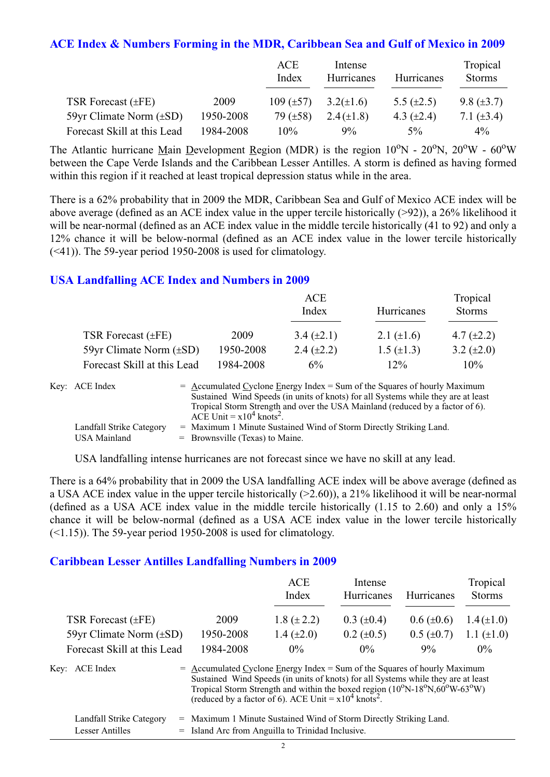#### **ACE Index & Numbers Forming in the MDR, Caribbean Sea and Gulf of Mexico in 2009**

|                              |           | ACE<br>Index   | Intense<br>Hurricanes | <b>Hurricanes</b> | Tropical<br><b>Storms</b> |
|------------------------------|-----------|----------------|-----------------------|-------------------|---------------------------|
| TSR Forecast $(\pm FE)$      | 2009      | $109 (\pm 57)$ | $3.2(\pm 1.6)$        | 5.5 $(\pm 2.5)$   | 9.8 $(\pm 3.7)$           |
| 59yr Climate Norm $(\pm SD)$ | 1950-2008 | 79 $(\pm 58)$  | $2.4(\pm 1.8)$        | 4.3 $(\pm 2.4)$   | 7.1 $(\pm 3.4)$           |
| Forecast Skill at this Lead  | 1984-2008 | $10\%$         | $9\%$                 | $5\%$             | $4\%$                     |

The Atlantic hurricane Main Development Region (MDR) is the region  $10^{\circ}$ N -  $20^{\circ}$ N,  $20^{\circ}$ W -  $60^{\circ}$ W between the Cape Verde Islands and the Caribbean Lesser Antilles. A storm is defined as having formed within this region if it reached at least tropical depression status while in the area.

There is a 62% probability that in 2009 the MDR, Caribbean Sea and Gulf of Mexico ACE index will be above average (defined as an ACE index value in the upper tercile historically (>92)), a 26% likelihood it will be near-normal (defined as an ACE index value in the middle tercile historically (41 to 92) and only a 12% chance it will be below-normal (defined as an ACE index value in the lower tercile historically (<41)). The 59-year period 1950-2008 is used for climatology.

#### **USA Landfalling ACE Index and Numbers in 2009**

|                              |           | ACE<br>Index    | Hurricanes        | Tropical<br><b>Storms</b> |
|------------------------------|-----------|-----------------|-------------------|---------------------------|
| TSR Forecast $(\pm FE)$      | 2009      | 3.4 $(\pm 2.1)$ | 2.1 $(\pm 1.6)$   | 4.7 $(\pm 2.2)$           |
| 59yr Climate Norm $(\pm SD)$ | 1950-2008 | 2.4 $(\pm 2.2)$ | $1.5 \ (\pm 1.3)$ | 3.2 $(\pm 2.0)$           |
| Forecast Skill at this Lead  | 1984-2008 | $6\%$           | 12%               | 10%                       |

| Key: ACE Index           | $=$ Accumulated Cyclone Energy Index $=$ Sum of the Squares of hourly Maximum     |
|--------------------------|-----------------------------------------------------------------------------------|
|                          | Sustained Wind Speeds (in units of knots) for all Systems while they are at least |
|                          | Tropical Storm Strength and over the USA Mainland (reduced by a factor of 6).     |
|                          | ACE Unit = $x10^4$ knots <sup>2</sup> .                                           |
| Landfall Strike Category | = Maximum 1 Minute Sustained Wind of Storm Directly Striking Land.                |
| <b>USA Mainland</b>      | $=$ Brownsville (Texas) to Maine.                                                 |

USA landfalling intense hurricanes are not forecast since we have no skill at any lead.

There is a 64% probability that in 2009 the USA landfalling ACE index will be above average (defined as a USA ACE index value in the upper tercile historically (>2.60)), a 21% likelihood it will be near-normal (defined as a USA ACE index value in the middle tercile historically (1.15 to 2.60) and only a 15% chance it will be below-normal (defined as a USA ACE index value in the lower tercile historically  $(\leq 1.15)$ ). The 59-year period 1950-2008 is used for climatology.

#### **Caribbean Lesser Antilles Landfalling Numbers in 2009**

|                              |                                                                             | ACE<br>Index                                                                                                                                                                                                                                                        | Intense<br>Hurricanes | <b>Hurricanes</b> | Tropical<br><b>Storms</b> |
|------------------------------|-----------------------------------------------------------------------------|---------------------------------------------------------------------------------------------------------------------------------------------------------------------------------------------------------------------------------------------------------------------|-----------------------|-------------------|---------------------------|
| TSR Forecast $(\pm FE)$      | 2009                                                                        | 1.8 $(\pm 2.2)$                                                                                                                                                                                                                                                     | $0.3 \ (\pm 0.4)$     | $0.6 (\pm 0.6)$   | $1.4(\pm 1.0)$            |
| 59yr Climate Norm $(\pm SD)$ | 1950-2008                                                                   | 1.4 $(\pm 2.0)$                                                                                                                                                                                                                                                     | $0.2 \ (\pm 0.5)$     | $0.5 (\pm 0.7)$   | 1.1 $(\pm 1.0)$           |
| Forecast Skill at this Lead  | 1984-2008                                                                   | $0\%$                                                                                                                                                                                                                                                               | $0\%$                 | $9\%$             | $0\%$                     |
| Key: ACE Index               | $=$ Accumulated Cyclone Energy Index = Sum of the Squares of hourly Maximum | Sustained Wind Speeds (in units of knots) for all Systems while they are at least<br>Tropical Storm Strength and within the boxed region $(10^{\circ}N-18^{\circ}N,60^{\circ}W-63^{\circ}W)$<br>(reduced by a factor of 6). ACE Unit = $x10^4$ knots <sup>2</sup> . |                       |                   |                           |

| Landfall Strike Category | = Maximum 1 Minute Sustained Wind of Storm Directly Striking Land. |
|--------------------------|--------------------------------------------------------------------|
| Lesser Antilles          | = Island Arc from Anguilla to Trinidad Inclusive.                  |